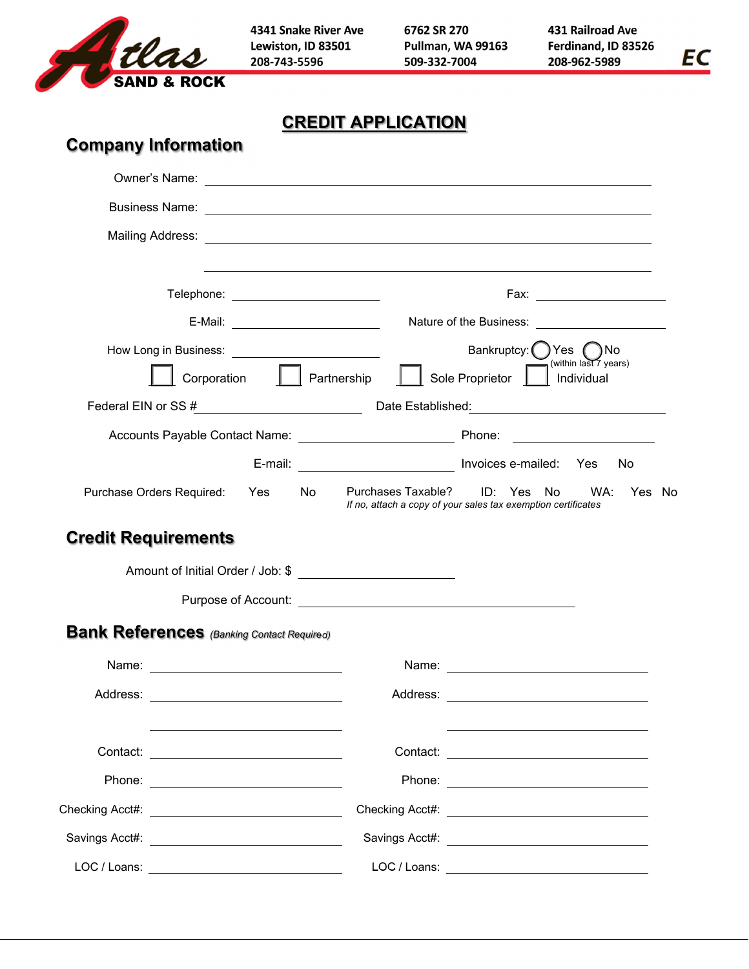

4341 Snake River Ave Lewiston, ID 83501 208-743-5596

6762 SR 270 Pullman, WA 99163 509-332-7004

431 Railroad Ave Ferdinand, ID 83526 208-962-5989

EC

**CREDIT APPLICATION** 

| <b>Company Information</b>         |                                                                                                                                                                                                                                     |              |                                                                                                                                                                                                                                      |
|------------------------------------|-------------------------------------------------------------------------------------------------------------------------------------------------------------------------------------------------------------------------------------|--------------|--------------------------------------------------------------------------------------------------------------------------------------------------------------------------------------------------------------------------------------|
|                                    | Owner's Name: <u>experience</u> and the contract of the contract of the contract of the contract of the contract of the contract of the contract of the contract of the contract of the contract of the contract of the contract of |              |                                                                                                                                                                                                                                      |
|                                    |                                                                                                                                                                                                                                     |              | Business Name: <u>Discussion of the Community of the Community of the Community of the Community of the Community of the Community of the Community of the Community of the Community of the Community of the Community of the C</u> |
|                                    |                                                                                                                                                                                                                                     |              |                                                                                                                                                                                                                                      |
|                                    | Telephone: ________________________                                                                                                                                                                                                 |              | ,我们也不会有什么。""我们的人,我们也不会有什么?""我们的人,我们也不会有什么?""我们的人,我们也不会有什么?""我们的人,我们也不会有什么?""我们的人                                                                                                                                                     |
| E-Mail: __________________________ |                                                                                                                                                                                                                                     |              |                                                                                                                                                                                                                                      |
|                                    | Corporation   Partnership                                                                                                                                                                                                           |              | Bankruptcy: Yes no<br>(within last 7 years)<br>Sole Proprietor     Individual<br>Federal EIN or SS # Date Established: Date Established:                                                                                             |
|                                    |                                                                                                                                                                                                                                     |              |                                                                                                                                                                                                                                      |
|                                    |                                                                                                                                                                                                                                     |              | E-mail: _______________________________ Invoices e-mailed: Yes<br><b>No</b>                                                                                                                                                          |
|                                    | Purchase Orders Required: Yes<br>No.                                                                                                                                                                                                |              | Purchases Taxable? ID: Yes No WA:<br>Yes No<br>If no, attach a copy of your sales tax exemption certificates                                                                                                                         |
| <b>Credit Requirements</b>         |                                                                                                                                                                                                                                     |              |                                                                                                                                                                                                                                      |
|                                    |                                                                                                                                                                                                                                     |              |                                                                                                                                                                                                                                      |
|                                    |                                                                                                                                                                                                                                     |              |                                                                                                                                                                                                                                      |
|                                    | <b>Bank References</b> (Banking Contact Required)                                                                                                                                                                                   |              |                                                                                                                                                                                                                                      |
|                                    |                                                                                                                                                                                                                                     |              |                                                                                                                                                                                                                                      |
| Address:                           |                                                                                                                                                                                                                                     | Address:     |                                                                                                                                                                                                                                      |
| Contact:                           |                                                                                                                                                                                                                                     |              |                                                                                                                                                                                                                                      |
|                                    |                                                                                                                                                                                                                                     |              |                                                                                                                                                                                                                                      |
|                                    |                                                                                                                                                                                                                                     |              |                                                                                                                                                                                                                                      |
|                                    |                                                                                                                                                                                                                                     |              |                                                                                                                                                                                                                                      |
| LOC / Loans:                       |                                                                                                                                                                                                                                     | LOC / Loans: |                                                                                                                                                                                                                                      |